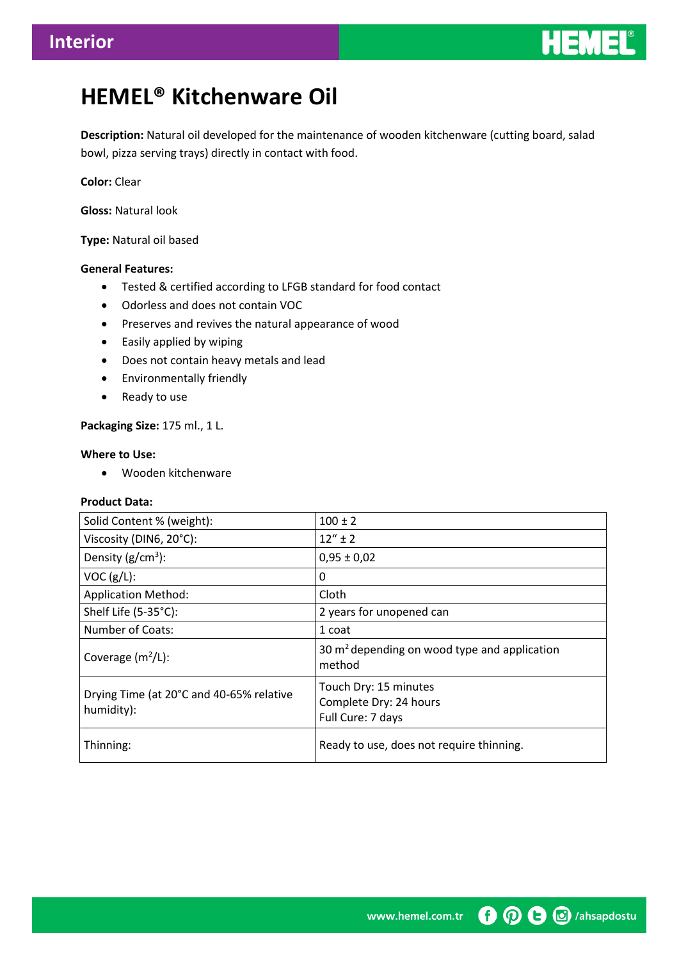

# **HEMEL® Kitchenware Oil**

**Description:** Natural oil developed for the maintenance of wooden kitchenware (cutting board, salad bowl, pizza serving trays) directly in contact with food.

**Color:** Clear

**Gloss:** Natural look

**Type:** Natural oil based

## **General Features:**

- Tested & certified according to LFGB standard for food contact
- Odorless and does not contain VOC
- Preserves and revives the natural appearance of wood
- Easily applied by wiping
- Does not contain heavy metals and lead
- **•** Environmentally friendly
- Ready to use

## **Packaging Size:** 175 ml., 1 L.

## **Where to Use:**

Wooden kitchenware

#### **Product Data:**

| Solid Content % (weight):                              | $100 \pm 2$                                                          |
|--------------------------------------------------------|----------------------------------------------------------------------|
| Viscosity (DIN6, 20°C):                                | $12'' + 2$                                                           |
| Density $(g/cm^3)$ :                                   | $0,95 \pm 0,02$                                                      |
| VOC (g/L):                                             | 0                                                                    |
| <b>Application Method:</b>                             | Cloth                                                                |
| Shelf Life (5-35°C):                                   | 2 years for unopened can                                             |
| Number of Coats:                                       | 1 coat                                                               |
| Coverage $(m^2/L)$ :                                   | 30 $m2$ depending on wood type and application<br>method             |
| Drying Time (at 20°C and 40-65% relative<br>humidity): | Touch Dry: 15 minutes<br>Complete Dry: 24 hours<br>Full Cure: 7 days |
| Thinning:                                              | Ready to use, does not require thinning.                             |

**O O G** /ahsapdostu www.hemel.com.tr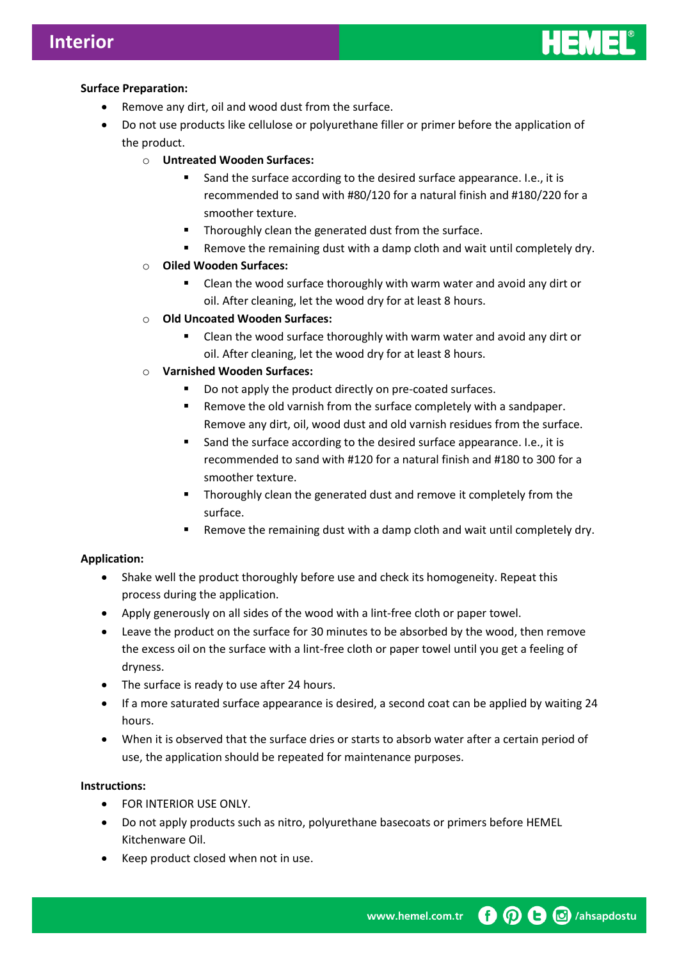

## **Surface Preparation:**

- Remove any dirt, oil and wood dust from the surface.
- Do not use products like cellulose or polyurethane filler or primer before the application of the product.
	- o **Untreated Wooden Surfaces:**
		- Sand the surface according to the desired surface appearance. I.e., it is recommended to sand with #80/120 for a natural finish and #180/220 for a smoother texture.
		- Thoroughly clean the generated dust from the surface.
		- **Remove the remaining dust with a damp cloth and wait until completely dry.**
	- o **Oiled Wooden Surfaces:**
		- Clean the wood surface thoroughly with warm water and avoid any dirt or oil. After cleaning, let the wood dry for at least 8 hours.
	- o **Old Uncoated Wooden Surfaces:**
		- Clean the wood surface thoroughly with warm water and avoid any dirt or oil. After cleaning, let the wood dry for at least 8 hours.
	- o **Varnished Wooden Surfaces:**
		- Do not apply the product directly on pre-coated surfaces.
		- **Remove the old varnish from the surface completely with a sandpaper.** Remove any dirt, oil, wood dust and old varnish residues from the surface.
		- Sand the surface according to the desired surface appearance. I.e., it is recommended to sand with #120 for a natural finish and #180 to 300 for a smoother texture.
		- Thoroughly clean the generated dust and remove it completely from the surface.
		- Remove the remaining dust with a damp cloth and wait until completely dry.

## **Application:**

- Shake well the product thoroughly before use and check its homogeneity. Repeat this process during the application.
- Apply generously on all sides of the wood with a lint-free cloth or paper towel.
- Leave the product on the surface for 30 minutes to be absorbed by the wood, then remove the excess oil on the surface with a lint-free cloth or paper towel until you get a feeling of dryness.
- The surface is ready to use after 24 hours.
- If a more saturated surface appearance is desired, a second coat can be applied by waiting 24 hours.
- When it is observed that the surface dries or starts to absorb water after a certain period of use, the application should be repeated for maintenance purposes.

## **Instructions:**

- **FOR INTERIOR USE ONLY.**
- Do not apply products such as nitro, polyurethane basecoats or primers before HEMEL Kitchenware Oil.
- Keep product closed when not in use.

n (D C G /ahsapdostu www.hemel.com.tr